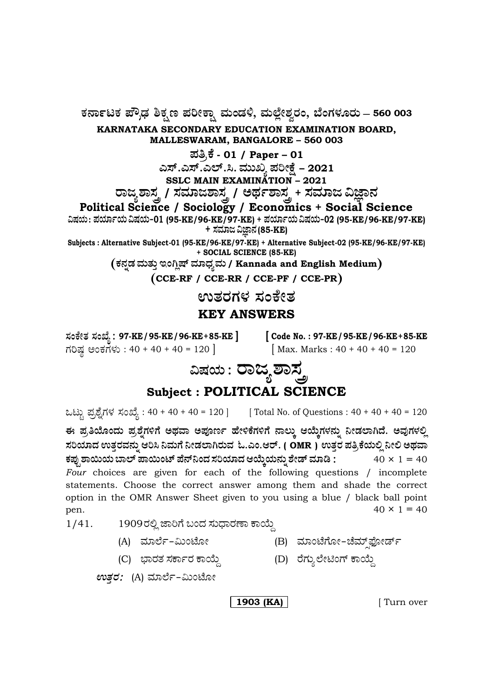**— 560 003**

**KARNATAKA SECONDARY EDUCATION EXAMINATION BOARD, MALLESWARAM, BANGALORE – 560 003**

**±Ü£ÅPæ - 01 / Paper – <sup>01</sup>**

**GÓ….GÓ….GÇ….Ô. ÊÜááS ±ÜÄàûæ – 2021**

**SSLC MAIN EXAMINATION – 2021**

ರಾಜ್ಯಶಾಸ್ತ್ರ / ಸಮಾಜಶಾಸ್ತ್ರ / ಅರ್ಥಶಾಸ್ತ್ರ + ಸಮಾಜ ವಿಜ್ಞಾನ

**Political Science / Sociology / Economics + Social Science**

**ËÐÜ¿á : ±Ü¿Þì¿á ËÐÜ¿á&01 (95-KE/96-KE/97-KE) + ±Ü¿Þì¿á ËÐÜ¿á&02 (95-KE/96-KE/97-KE) + ÓÜÊÜÞg ËþÝ®Ü (85-KE)**

**Subjects : Alternative Subject-01 (95-KE/96-KE/97-KE) + Alternative Subject-02 (95-KE/96-KE/97-KE) + SOCIAL SCIENCE (85-KE)**

**PܮܰvÜ ÊÜáñÜᤠCíXÉÐ… ÊÜÞ«ÜÂÊÜá / Kannada and English Medium**

**CCE-RF / CCE-RR / CCE-PF / CCE-PR**

ಉತರಗಳ ಸಂಕೇತ

# **KEY ANSWERS**

**97-KE/95-KE /96-KE +85-KE ] [ Code No. : 97-KE/95-KE /96-KE +85-KE** ಗರಿಷ್ಠ ಅಂಕಗಳು :  $40 + 40 + 40 = 120$  | Max. Marks :  $40 + 40 + 40 = 120$ 

# ವಿಷಯ : **ರಾಜ್ಯ** ಶಾಸ್ತ್ರ **Subject : POLITICAL SCIENCE**

ಒಟ್ಟು ಪ್ರಶ್ನೆಗಳ ಸಂಖ್ಯೆ : 40 + 40 + 40 = 120 ] [Total No. of Questions : 40 + 40 + 40 = 120

ಈ ಪ್ರತಿಯೊಂದು ಪ್ರಶ್ನೆಗಳಿಗೆ ಅಥವಾ ಅಪೂರ್ಣ ಹೇಳಿಕೆಗಳಿಗೆ ನಾಲ್ಕು ಆಯ್ಕೆಗಳನ್ನು ನೀಡಲಾಗಿದೆ. ಅವುಗಳಲ್ಲಿ  $\boldsymbol{\lambda}$ ರಿಯಾದ ಉತ್ತರವನ್ನು ಆರಿಸಿ ನಿಮಗೆ ನೀಡಲಾಗಿರುವ ಓ.ಎಂ.ಆರ್. ( OMR ) ಉತ್ತರ ಪತ್ರಿಕೆಯಲ್ಲಿ ನೀಲಿ ಅಥವಾ ಕಪ್ಪು ಶಾಯಿಯ ಬಾಲ್ ಪಾಯಿಂಟ್ ಪೆನ್**ನಿಂದ ಸರಿಯಾದ ಆಯ್ಕೆಯನ್ನು ಶೇಡ್ ಮಾಡಿ :** 40 × 1 = 40 *Four* choices are given for each of the following questions / incomplete statements. Choose the correct answer among them and shade the correct option in the OMR Answer Sheet given to you using a blue / black ball point pen.  $40 \times 1 = 40$ 

 $1/41.$  1909ರಲ್ಲಿ ಜಾರಿಗೆ ಬಂದ ಸುಧಾರಣಾ ಕಾಯ್ದೆ

- (A) ಮಾರ್ಲೆ–ಮಿಂಟೋ (B) ಮಾಂಟೆಗೋ–ಚೆಮ್ಸ್ರಫೋರ್ಡ್
	-
- (C) »ÝÃÜñÜ ÓÜPÝìÃÜ PÝÁáª (D) ÃæWÜáÂÇæàqíW… PÝÁáª

*enತ್ತ*: (A) ಮಾರ್ಲೆ-ಮಿಂಟೋ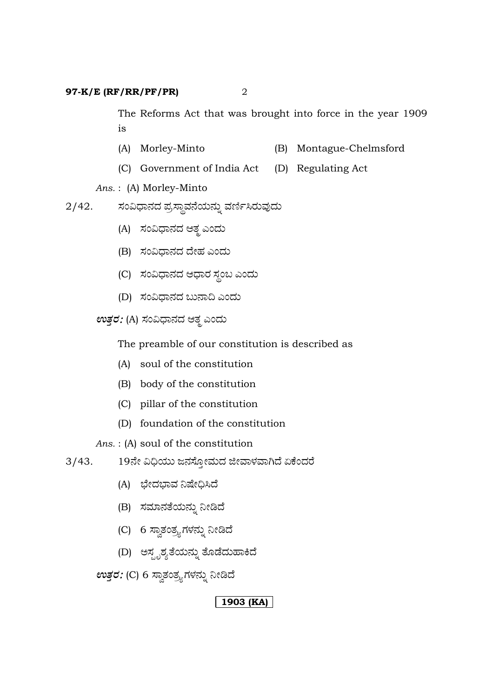The Reforms Act that was brought into force in the year 1909 is

- (A) Morley-Minto (B) Montague-Chelmsford
- (C) Government of India Act (D) Regulating Act

*Ans.* : (A) Morley-Minto

 $2/42$ . ಸಂವಿಧಾನದ ಪ್ರಸ್ಥಾವನೆಯನ್ನು ವರ್ಣಿಸಿರುವುದು

- (A) ಸಂವಿಧಾನದ ಆತ್ಮ ಎಂದು
- (B) ಸಂವಿಧಾನದ ದೇಹ ಎಂದು
- (C) ಸಂವಿಧಾನದ ಆಧಾರ ಸ್ಥಂಬ ಎಂದು
- (D) ಸಂವಿಧಾನದ ಬುನಾದಿ ಎಂದು

 $\mathit{evg}$ ರ: (A) ಸಂವಿಧಾನದ ಆತೃ ಎಂದು

The preamble of our constitution is described as

- (A) soul of the constitution
- (B) body of the constitution
- (C) pillar of the constitution
- (D) foundation of the constitution

*Ans.* : (A) soul of the constitution

- 3/43. 19ನೇ ವಿಧಿಯು ಜನಸ್ತೋಮದ ಜೀವಾಳವಾಗಿದೆ ಏಕೆಂದರೆ
	- (A) ಭೇದಭಾವ ನಿಷೇಧಿಸಿದೆ
	- (B) ಸಮಾನತೆಯನ್ನು ನೀಡಿದೆ
	- (C) 6 ಸ್ವಾತಂತ್ರ್ಯಗಳನ್ನು ನೀಡಿದೆ
	- (D) ಅಸ್ಪೃಶ್ಯತೆಯನ್ನು ತೊಡೆದುಹಾಕಿದೆ

 $ev$ ತ್ತರ: (C) 6 ಸ್ವಾತಂತ್ರ್ಯಗಳನ್ನು ನೀಡಿದೆ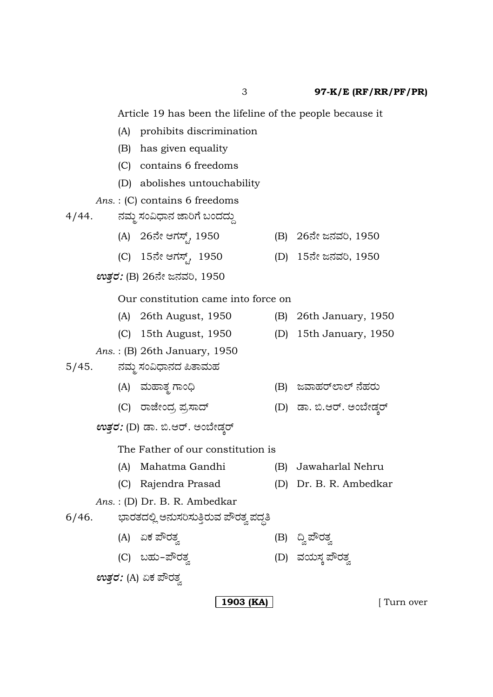Article 19 has been the lifeline of the people because it

- (A) prohibits discrimination
- (B) has given equality
- (C) contains 6 freedoms
- (D) abolishes untouchability
- *Ans.* : (C) contains 6 freedoms
- 4/44. ನಮ್ಮ ಸಂವಿಧಾನ ಜಾರಿಗೆ ಬಂದದ್ದು
	- (A) 26ನೇ ಆಗಸ್ಟ್, 1950 (B) 26ನೇ ಜನವರಿ, 1950
		- (C) 15ನೇ ಆಗಸ್ಟ್, 1950 (D) 15ನೇ ಜನವರಿ, 1950
	- $ev$ ತ*್ರ*: (B) 26ನೇ ಜನವರಿ, 1950

#### Our constitution came into force on

- (A) 26th August, 1950 (B) 26th January, 1950
- (C) 15th August, 1950 (D) 15th January, 1950

## *Ans.* : (B) 26th January, 1950

5/45. ನಮ್ಮ ಸಂವಿಧಾನದ ಪಿತಾಮಹ

- (A) ÊÜáÖÝñܾ WÝí˜ (B) gÊÝÖÜÃ…ÇÝÇ… ¬æÖÜÃÜá
- (C) ÃÝhæàí¨ÜÅ ¯ÜÅÓݨ… (D) vÝ. ¹.BÃ…. Aí¸æàvÜRÃ…
- $\mathit{evz}$ ವ: (D) ಡಾ. ಬಿ.ಆರ್. ಅಂಬೇಡ್ಕರ್

The Father of our constitution is

- (A) Mahatma Gandhi (B) Jawaharlal Nehru
- (C) Rajendra Prasad (D) Dr. B. R. Ambedkar
- *Ans.* : (D) Dr. B. R. Ambedkar

# 6/46. ಭಾರತದಲ್ಲಿ ಅನುಸರಿಸುತ್ತಿರುವ ಪೌರತ್ವ ಪದ್ಧತಿ

- (A) HPÜ ±èÃÜñÜÌ (B) ©Ì ±èÃÜñÜÌ
- (C) ŸÖÜá&¯èÃÜñÜÌ (D) ÊÜ¿áÓÜR ±èÃÜñÜÌ

 $\mathbf{w}$ *ತ್ತರ:* (A) ಏಕ ಪೌರತ್ತ

**1903 (KA)**  $\vert$  **[** Turn over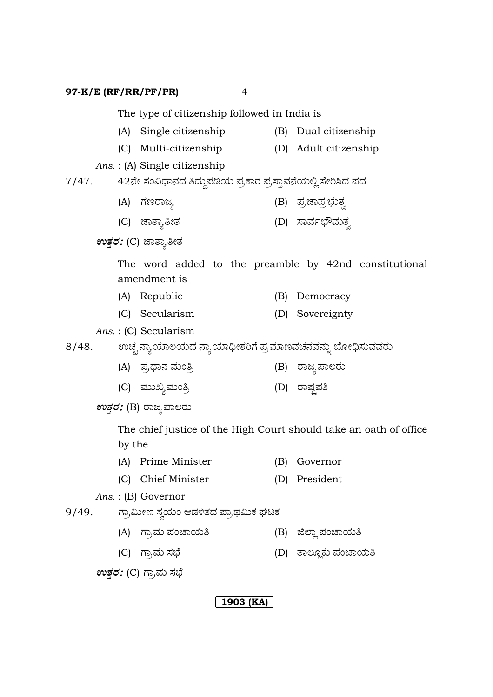The type of citizenship followed in India is

- (A) Single citizenship (B) Dual citizenship
- (C) Multi-citizenship (D) Adult citizenship

*Ans.* : (A) Single citizenship

7/47. 42ನೇ ಸಂವಿಧಾನದ ತಿದ್ದುಪಡಿಯ ಪ್ರಕಾರ ಪ್ರಸ್ತಾವನೆಯಲ್ಲಿ ಸೇರಿಸಿದ ಪದ

- (A) WÜ|ÃÝgÂ (B) ±ÜÅhݱÜÅ»ÜáñÜÌ
- (C) hÝñÝ£àñÜ (D) ÓÝÊÜì»èÊÜáñÜÌ

 $ev$ ತ್ತರ: (C) ಜಾತ್ಯಾತೀತ

The word added to the preamble by 42nd constitutional amendment is

- (A) Republic (B) Democracy
- (C) Secularism (D) Sovereignty

*Ans.* : (C) Secularism

8/48. ಊಚ್ಛ ನ್ಯಾಯಾಲಯದ ನ್ಯಾಯಾಧೀಶರಿಗೆ ಪ್ರಮಾಣವಚನವನ್ನು ಬೋಧಿಸುವವರು

- (A) ±ÜÅ«Ý®Ü ÊÜáí£Å (B) ÃÝgÂ±ÝÆÃÜá
- (C) ÊÜááSÂÊÜáí£Å (D) ÃÝÐÜó±Ü£

 $\mathfrak{w}$ *ತ್ತರ:* (B) ರಾಜ್ಯಪಾಲರು

The chief justice of the High Court should take an oath of office by the

- (A) Prime Minister (B) Governor
- (C) Chief Minister (D) President
- *Ans.* : (B) Governor
- 9/49. ಗ್ರಾಮೀಣ ಸ್ವಯಂ ಆಡಳಿತದ ಪ್ರಾಥಮಿಕ ಘಟಕ
	- (A) ಗ್ರಾಮ ಪಂಚಾಯತಿ (B) ಜಿಲ್ಲಾ ಪಂಚಾಯತಿ
	- (C) WÝÅÊÜá ÓÜ»æ (D) ñÝÆãÉPÜá ±ÜíaÝ¿á£

*ಉತ್ತರ: (C) ಗ್ರಾಮ* ಸಭೆ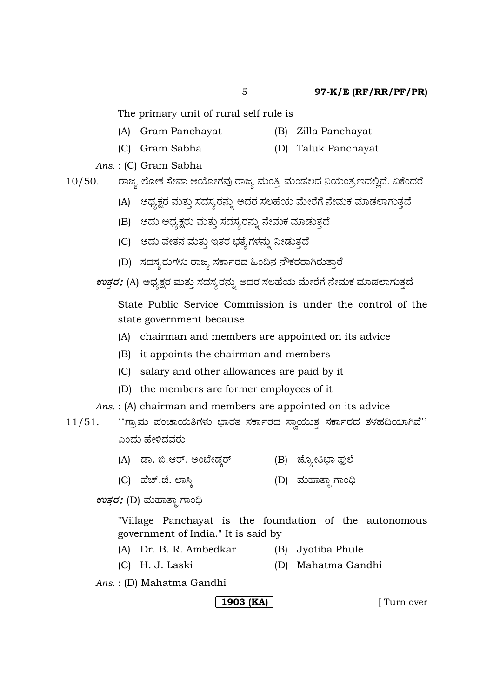The primary unit of rural self rule is

- (A) Gram Panchayat (B) Zilla Panchayat
	-
- (C) Gram Sabha (D) Taluk Panchayat

*Ans.* : (C) Gram Sabha

10/50. ರಾಜ್ಯ ಲೋಕ ಸೇವಾ ಆಯೋಗವು ರಾಜ್ಯ ಮಂತ್ರಿ ಮಂಡಲದ ನಿಯಂತ್ರಣದಲ್ಲಿದೆ. ಏಕೆಂದರೆ

- (A) ಅಧ್ಯಕ್ಷರ ಮತ್ತು ಸದಸ್ಯರನ್ನು ಅದರ ಸಲಹೆಯ ಮೇರೆಗೆ ನೇಮಕ ಮಾಡಲಾಗುತ್ತದೆ
- (B) ಅದು ಅಧ್ಯಕ್ಷರು ಮತ್ತು ಸದಸ್ಯರನ್ನು ನೇಮಕ ಮಾಡುತ್ತದೆ
- (C) ಅದು ವೇತನ ಮತ್ತು ಇತರ ಭತ್ಯೆಗಳನ್ನು ನೀಡುತ್ತದೆ
- (D) ಸದಸ್ಯರುಗಳು ರಾಜ್ಯ ಸರ್ಕಾರದ ಹಿಂದಿನ ನೌಕರರಾಗಿರುತ್ತಾರೆ

*ಉತ್ತರ: (A) ಅ*ಧ್ಯಕ್ಷರ ಮತ್ತು ಸದಸ್ಯರನ್ನು ಅದರ ಸಲಹೆಯ ಮೇರೆಗೆ ನೇಮಕ ಮಾಡಲಾಗುತ್ತದೆ

State Public Service Commission is under the control of the state government because

- (A) chairman and members are appointed on its advice
- (B) it appoints the chairman and members
- (C) salary and other allowances are paid by it
- (D) the members are former employees of it

*Ans.* : (A) chairman and members are appointed on its advice

- 11/51. "ಗ್ರಾಮ ಪಂಚಾಯತಿಗಳು ಭಾರತ ಸರ್ಕಾರದ ಸ್ವಾಯುತ್ತ ಸರ್ಕಾರದ ತಳಹದಿಯಾಗಿವೆ'' ಎಂದು ಹೇಳಿದವರು
	- (A) vÝ. ¹.BÃ…. Aí¸æàvÜRÃ… (B) hæãÂà£»Ý ¶ÜâÇæ
	- (C) Öæa….hæ. ÇÝÔR (D) ÊÜáÖÝñݾ WÝí˜

 $ev$ ತ್ತರ: (D) ಮಹಾತ್ಮಾ ಗಾಂಧಿ

"Village Panchayat is the foundation of the autonomous government of India." It is said by

- (A) Dr. B. R. Ambedkar (B) Jyotiba Phule
- (C) H. J. Laski (D) Mahatma Gandhi
- *Ans.* : (D) Mahatma Gandhi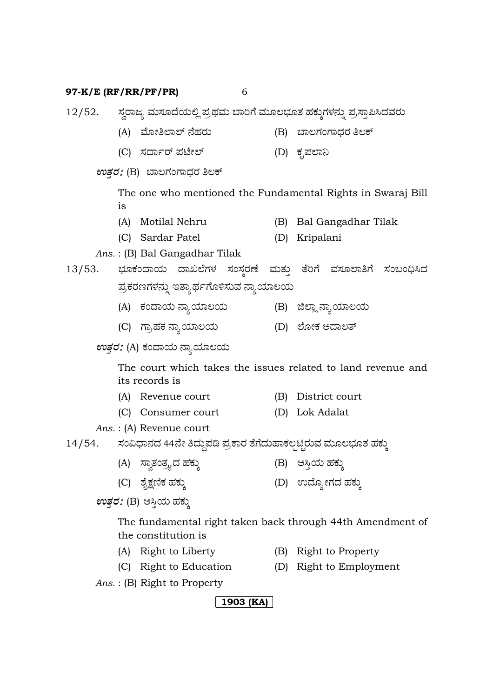12/52. ಸ್ವರಾಜ್ಯ ಮಸೂದೆಯಲ್ಲಿ ಪ್ರಥಮ ಬಾರಿಗೆ ಮೂಲಭೂತ ಹಕ್ಕುಗಳನ್ನು ಪ್ರಸ್ತಾಪಿಸಿದವರು

- (A) Êæãà£ÇÝÇ… ¬æÖÜÃÜá (B) ¸ÝÆWÜíWÝ«ÜÃÜ £ÆP…
- (C) ÓܨÝìÃ… ¯ÜpæàÇ… (D) PÜê±ÜÇݯ

*ಉತ್ತರ:* (B) ಬಾಲಗಂಗಾಧರ ತಿಲಕ್

The one who mentioned the Fundamental Rights in Swaraj Bill is

- (A) Motilal Nehru (B) Bal Gangadhar Tilak
- (C) Sardar Patel (D) Kripalani
- *Ans.* : (B) Bal Gangadhar Tilak

# 13/53. ಭೂಕಂದಾಯ ದಾಖಲೆಗಳ ಸಂಸ್ಕರಣೆ ಮತ್ತು ತೆರಿಗೆ ವಸೂಲಾತಿಗೆ ಸಂಬಂಧಿಸಿದ ಪ್ರಕರಣಗಳನ್ನು ಇತ್ಯಾರ್ಥಗೊಳಿಸುವ ನ್ಯಾಯಾಲಯ

- (A) PÜí¨Ý¿á ®ÝÂ¿ÞÆ¿á (B) iÇÝÉ ®ÝÂ¿ÞÆ¿á
- (C) WÝÅÖÜPÜ ®ÝÂ¿ÞÆ¿á (D) ÇæãàPÜ A¨ÝÆñ…

# *ಉತ್ತರ:* (A) ಕಂದಾಯ ನ್ಯಾಯಾಲಯ

The court which takes the issues related to land revenue and its records is

- (A) Revenue court (B) District court
- (C) Consumer court (D) Lok Adalat

*Ans.* : (A) Revenue court

14/54. ಸಂವಿಧಾನದ 44ನೇ ತಿದ್ದುಪಡಿ ಪ್ರಕಾರ ತೆಗೆದುಹಾಕಲ್ಪಟ್ಟಿರುವ ಮೂಲಭೂತ ಹಕ್ಕು

- (A) ÓÝÌñÜíñÜÅ嬆 ÖÜPÜáR (B) BÔ¤¿á ÖÜPÜáR
- (C) ÍæçûÜ~PÜ ÖÜPÜáR (D) E¨æãÂàWÜ¨Ü ÖÜPÜáR

 $\mathfrak{w}$ *ತ್ತರ:* (B) ಆಸ್ತಿಯ ಹಕ್ಕು

The fundamental right taken back through 44th Amendment of the constitution is

- (A) Right to Liberty (B) Right to Property
- 
- 
- (C) Right to Education (D) Right to Employment
- *Ans.* : (B) Right to Property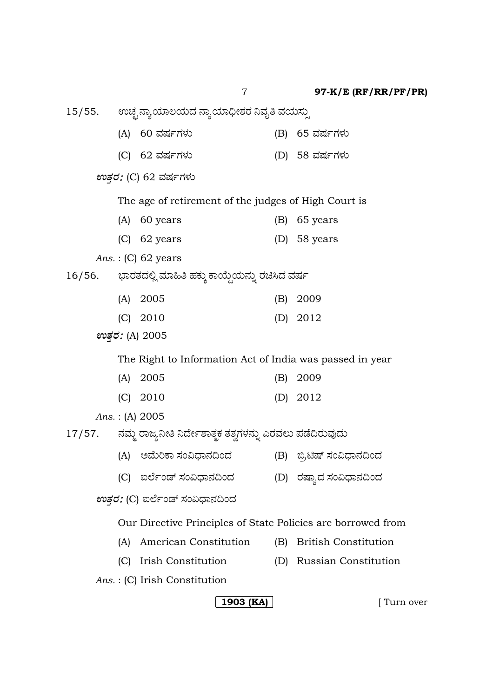15/55. ಊಚ್ಛ ನ್ಯಾಯಾಲಯದ ನ್ಯಾಯಾಧೀಶರ ನಿವೃತಿ ವಯಸ್ಸು (A) 60 ÊÜÐÜìWÜÙÜá (B) 65 ÊÜÐÜìWÜÙÜá (C) 62 ÊÜÐÜìWÜÙÜá (D) 58 ÊÜÐÜìWÜÙÜá *ಉತ್ತ*: (C) 62 ವರ್ಷಗಳು The age of retirement of the judges of High Court is (A) 60 years (B) 65 years (C) 62 years (D) 58 years *Ans.* : (C) 62 years 16/56. ಭಾರತದಲ್ಲಿ ಮಾಹಿತಿ ಹಕ್ಕು ಕಾಯ್ದೆಯನ್ನು ರಚಿಸಿದ ವರ್ಷ (A) 2005 (B) 2009 (C) 2010 (D) 2012 *EñܤÃÜ* (A) 2005 The Right to Information Act of India was passed in year (A) 2005 (B) 2009 (C) 2010 (D) 2012 *Ans.* : (A) 2005 17/57. ನಮ್ಮ ರಾಜ್ಯನೀತಿ ನಿರ್ದೇಶಾತ್ಮಕ ತತ್ವಗಳನ್ನು ಎರವಲು ಪಡೆದಿರುವುದು (A) ಅಮೆರಿಕಾ ಸಂವಿಧಾನದಿಂದ (B) ಬ್ರಿಟಿಷ್ ಸಂವಿಧಾನದಿಂದ (C) IÇæìív… ÓÜí˫ݬܩí¨Ü (D) ÃÜÐÝ嬆 ÓÜí˫ݮܩí¨Ü *ಉತ್ತರ:* (C) ಐರ್ಲೆಂಡ್ ಸಂವಿಧಾನದಿಂದ Our Directive Principles of State Policies are borrowed from (A) American Constitution (B) British Constitution (C) Irish Constitution (D) Russian Constitution *Ans.* : (C) Irish Constitution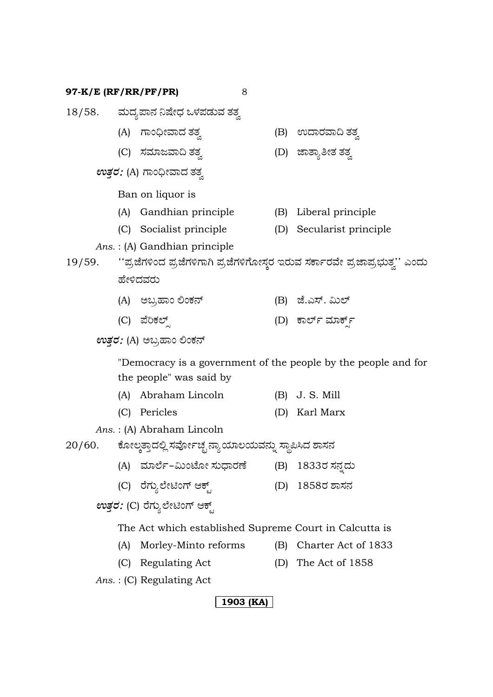|                                        |                                                                             | 18/58.       ಮದ್ಯಪಾನ ನಿಷೇಧ ಒಳಪಡುವ ತತ್ವ |     |                                                                |  |  |  |  |  |  |  |  |
|----------------------------------------|-----------------------------------------------------------------------------|----------------------------------------|-----|----------------------------------------------------------------|--|--|--|--|--|--|--|--|
|                                        |                                                                             | (A) ಗಾಂಧೀವಾದ ತತ್ವ                      |     | (B) ಉದಾರವಾದಿ ತತ್ನ                                              |  |  |  |  |  |  |  |  |
|                                        |                                                                             | (C) ಸಮಾಜವಾದಿ ತತ್ವ                      |     | (D) ಜಾತ್ಯಾತೀತ ತತ್ವ                                             |  |  |  |  |  |  |  |  |
| <i>ಉತ್ತರ: (A) ಗಾಂಧೀ</i> ವಾದ ತತ್ವ       |                                                                             |                                        |     |                                                                |  |  |  |  |  |  |  |  |
|                                        | Ban on liquor is                                                            |                                        |     |                                                                |  |  |  |  |  |  |  |  |
|                                        | (A)                                                                         | Gandhian principle                     | (B) | Liberal principle                                              |  |  |  |  |  |  |  |  |
|                                        |                                                                             | (C) Socialist principle                | (D) | Secularist principle                                           |  |  |  |  |  |  |  |  |
|                                        | Ans.: (A) Gandhian principle                                                |                                        |     |                                                                |  |  |  |  |  |  |  |  |
| 19/59.                                 | ''ಪ್ರಜೆಗಳಿಂದ ಪ್ರಜೆಗಳಿಗಾಗಿ ಪ್ರಜೆಗಳಿಗೋಸ್ಕರ ಇರುವ ಸರ್ಕಾರವೇ ಪ್ರಜಾಪ್ರಭುತ್ವ'' ಎಂದು |                                        |     |                                                                |  |  |  |  |  |  |  |  |
|                                        | ಹೇಳಿದವರು                                                                    |                                        |     |                                                                |  |  |  |  |  |  |  |  |
|                                        |                                                                             | (A) ಅಬ್ರಹಾಂ ಲಿಂಕನ್                     |     | (B) ಜೆ.ಎಸ್. ಮಿಲ್                                               |  |  |  |  |  |  |  |  |
|                                        |                                                                             | (C) ಪೆರಿಕಲ್ಸ್                          |     | (D) ಕಾರ್ಲ್ ಮಾರ್ಕ್ಸ್                                            |  |  |  |  |  |  |  |  |
| ಉತ್ತರ: (A) ಅಬ್ರಹಾಂ ಲಿಂಕನ್              |                                                                             |                                        |     |                                                                |  |  |  |  |  |  |  |  |
|                                        |                                                                             |                                        |     | "Democracy is a government of the people by the people and for |  |  |  |  |  |  |  |  |
|                                        |                                                                             | the people" was said by                |     |                                                                |  |  |  |  |  |  |  |  |
|                                        |                                                                             | (A) Abraham Lincoln                    |     | $(B)$ J. S. Mill                                               |  |  |  |  |  |  |  |  |
|                                        |                                                                             | (C) Pericles                           |     | (D) Karl Marx                                                  |  |  |  |  |  |  |  |  |
|                                        |                                                                             | Ans.: (A) Abraham Lincoln              |     |                                                                |  |  |  |  |  |  |  |  |
| 20/60.                                 | ಕೋಲ್ಕತ್ತಾದಲ್ಲಿ ಸರ್ವೋಚ್ಛ ನ್ಯಾಯಾಲಯವನ್ನು ಸ್ಥಾಪಿಸಿದ ಶಾಸನ                        |                                        |     |                                                                |  |  |  |  |  |  |  |  |
|                                        |                                                                             | (A) ಮಾರ್ಲೆ–ಮಿಂಟೋ ಸುಧಾರಣೆ               |     | (B) 1833ರ ಸನ್ನದು                                               |  |  |  |  |  |  |  |  |
|                                        |                                                                             | (C) ರೆಗ್ಯುಲೇಟಿಂಗ್ ಆಕ್ಟ್                | (D) | 1858ರ ಶಾಸನ                                                     |  |  |  |  |  |  |  |  |
| <i>ಉತ್ತರ: (</i> C) ರೆಗ್ಯುಲೇಟಿಂಗ್ ಆಕ್ಟ್ |                                                                             |                                        |     |                                                                |  |  |  |  |  |  |  |  |
|                                        | The Act which established Supreme Court in Calcutta is                      |                                        |     |                                                                |  |  |  |  |  |  |  |  |
|                                        | (A)                                                                         | Morley-Minto reforms                   | (B) | Charter Act of 1833                                            |  |  |  |  |  |  |  |  |

(C) Regulating Act (D) The Act of 1858

*Ans.* : (C) Regulating Act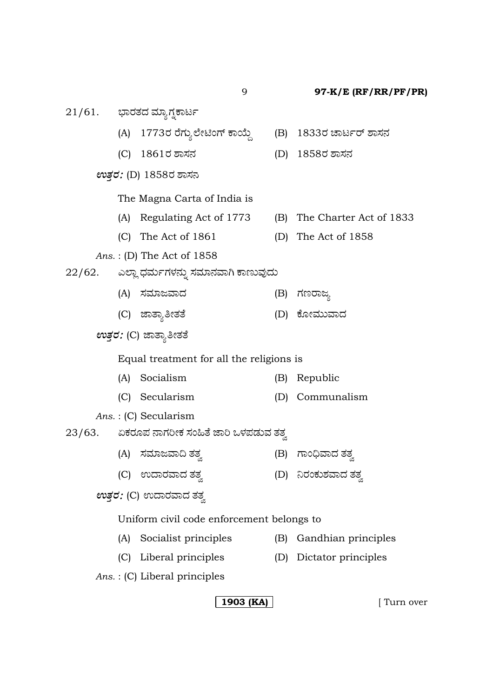9 **97-K/E (RF/RR/PF/PR)**  $21/61$ . ಭಾರತದ ಮ್ಯಾಗ್ನಕಾರ್ಟ (A) 1773ರ ರೆಗ್ಯುಲೇಟಿಂಗ್ ಕಾಯ್ದೆ (B) 1833ರ ಚಾರ್ಟರ್ ಶಾಸನ (C) 1861ÃÜ ÍÝÓÜ®Ü (D) 1858ÃÜ ÍÝÓÜ®Ü *ಉತ್ತರ: (*D) 1858ರ ಶಾಸನ The Magna Carta of India is (A) Regulating Act of 1773 (B) The Charter Act of 1833 (C) The Act of 1861 (D) The Act of 1858 *Ans.* : (D) The Act of 1858 22/62. ಎಲ್ಲಾ ಧರ್ಮಗಳನ್ನು ಸಮಾನವಾಗಿ ಕಾಣುವುದು (A) ÓÜÊÜÞgÊݨÜ (B) WÜ|ÃÝgÂ (C) ಜಾತ್ಯಾತೀತತೆ (D) ಕೋಮುವಾದ  $\mathfrak{w}$ *ತ್ತರ:* (C) ಜಾತ್ಯಾತೀತತೆ Equal treatment for all the religions is (A) Socialism (B) Republic (C) Secularism (D) Communalism *Ans.* : (C) Secularism  $23/63$ . ಏಕರೂಪ ನಾಗರೀಕ ಸಂಹಿತೆ ಜಾರಿ ಒಳಪಡುವ ತತ್ರ (A) ÓÜÊÜÞgÊÝ© ñÜñÜÌ (B) WÝí˜ÊÝ¨Ü ñÜñÜÌ (C) E¨ÝÃÜÊÝ¨Ü ñÜñÜÌ (D) ¯ÃÜíPÜáÍÜÊÝ¨Ü ñÜñÜÌ  $\mathfrak{w}$ *ತ್ತರ:* (C) ಉದಾರವಾದ ತತ್ವ Uniform civil code enforcement belongs to (A) Socialist principles (B) Gandhian principles (C) Liberal principles (D) Dictator principles *Ans.* : (C) Liberal principles

### **1903 (KA)**  $\vert$  **[** Turn over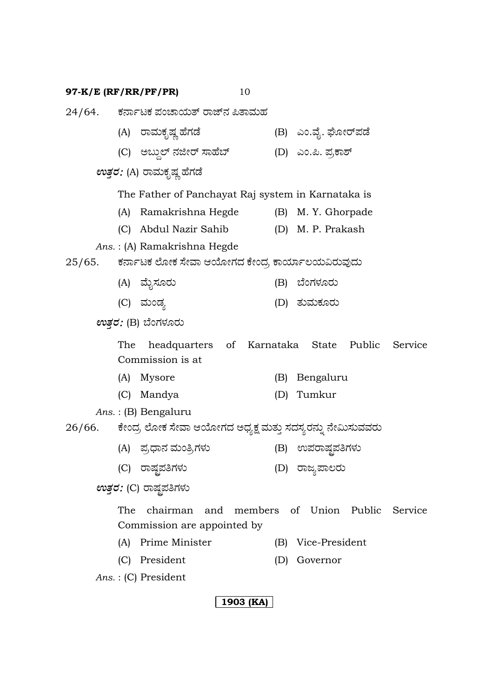24/64. ಕರ್ನಾಟಕ ಪಂಚಾಯತ್ ರಾಜ್ ನ ಪಿತಾಮಹ (A) ÃÝÊÜáPÜêÐÜ¡ ÖæWÜvæ (B) Gí.Êæç. NãàÃ…¯Üvæ (C) AŸáªÇ… ¬ÜiàÃ… ÓÝÖæ¸… (D) Gí.°. ¯ÜÅPÝÍ…  $ev$ ತ್ತರ: (A) ರಾಮಕೃಷ್ಣ ಹೆಗಡೆ The Father of Panchayat Raj system in Karnataka is (A) Ramakrishna Hegde (B) M. Y. Ghorpade (C) Abdul Nazir Sahib (D) M. P. Prakash *Ans.* : (A) Ramakrishna Hegde  $25/65$ . ಕರ್ನಾಟಕ ಲೋಕ ಸೇವಾ ಆಯೋಗದ ಕೇಂದ್ರ ಕಾರ್ಯಾಲಯವಿರುವುದು (A) ÊæáçÓÜãÃÜá (B) ¸æíWÜÙÜãÃÜá (C) ÊÜáívÜÂ (D) ñÜáÊÜáPÜãÃÜá  $ev$ ತ್ತರ: (B) ಬೆಂಗಳೂರು The headquarters of Karnataka State Public Service Commission is at (A) Mysore (B) Bengaluru (C) Mandya (D) Tumkur *Ans.* : (B) Bengaluru 26/66. ಕೇಂದ್ರ ಲೋಕ ಸೇವಾ ಆಯೋಗದ ಅಧ್ಯಕ್ಷ ಮತ್ತು ಸದಸ್ಯರನ್ನು ನೇಮಿಸುವವರು (A) ±ÜÅ«Ý®Ü ÊÜáí£ÅWÜÙÜá (B) E±ÜÃÝÐÜó±Ü£WÜÙÜá (C) ÃÝÐÜó±Ü£WÜÙÜá (D) ÃÝgÂ±ÝÆÃÜá  $ev$ ತ್ತರ: (C) ರಾಷ್ಟಪತಿಗಳು The chairman and members of Union Public Service Commission are appointed by (A) Prime Minister (B) Vice-President

(C) President (D) Governor

*Ans.* : (C) President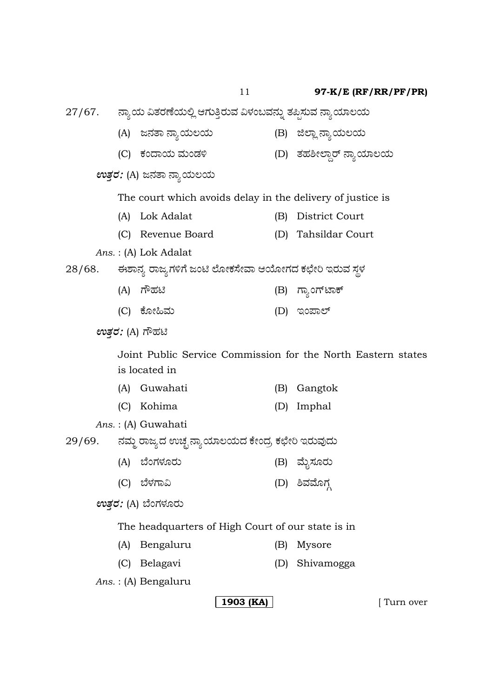27/67. ನ್ಯಾಯ ವಿತರಣೆಯಲ್ಲಿ ಆಗುತ್ತಿರುವ ವಿಳಂಬವನ್ನು ತಪ್ಪಿಸುವ ನ್ಯಾಯಾಲಯ

(A) g®ÜñÝ ®ÝÂ¿áÆ¿á (B) iÇÝÉ ®ÝÂ¿áÆ¿á (C) PÜí¨Ý¿á ÊÜáívÜÚ (D) ñÜÖÜÎàÇݪÅ ¬ÝÂ¿ÞÆ¿á *ಉತ್ತರ: (A) ಜನತಾ ನ್ಯಾಯಲಯ* The court which avoids delay in the delivery of justice is (A) Lok Adalat (B) District Court (C) Revenue Board (D) Tahsildar Court *Ans.* : (A) Lok Adalat 28/68. ಈಶಾನ್ಯ ರಾಜ್ಯಗಳಿಗೆ ಜಂಟಿ ಲೋಕಸೇವಾ ಆಯೋಗದ ಕಛೇರಿ ಇರುವ ಸ್ಥಳ (A) WèÖÜq (B) WÝÂíW…pÝP… (C) ಕೋಹಿಮ (D) ಇಂಪಾಲ್  $ev$ ತ್ರರ: (A) ಗೌಹಟಿ Joint Public Service Commission for the North Eastern states is located in (A) Guwahati (B) Gangtok (C) Kohima (D) Imphal *Ans.* : (A) Guwahati 29/69. ನಮ್ಮ ರಾಜ್ಯದ ಉಚ್ಛ ನ್ಯಾಯಾಲಯದ ಕೇಂದ್ರ ಕಛೇರಿ ಇರುವುದು (A) ¸æíWÜÙÜãÃÜá (B) ÊæáçÓÜãÃÜá (C) ¸æÙÜWÝË (D) ÎÊÜÊæãWÜY  $ev$ ತರ: (A) ಬೆಂಗಳೂರು The headquarters of High Court of our state is in (A) Bengaluru (B) Mysore (C) Belagavi (D) Shivamogga *Ans.* : (A) Bengaluru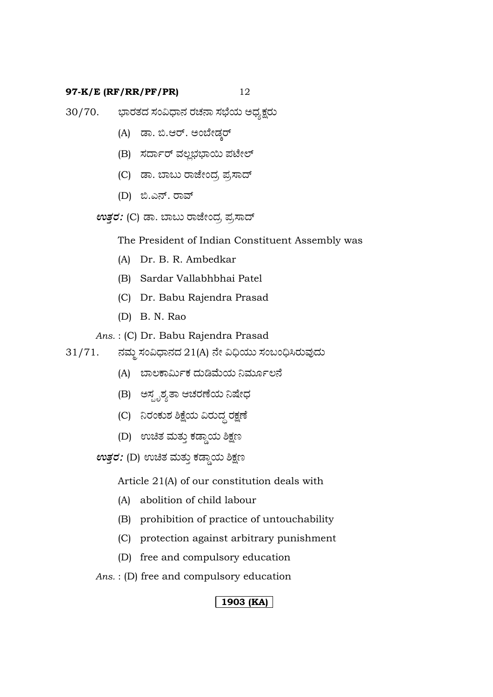- 30/70. ಭಾರತದ ಸಂವಿಧಾನ ರಚನಾ ಸಭೆಯ ಅಧ್ಯಕ್ಷರು
	- (A) ಡಾ. ಬಿ.ಆರ್. ಅಂಬೇಡ್ಕರ್
	- (B) ಸರ್ದಾರ್ ವಲ್ಲಭಭಾಯಿ ಪಟೇಲ್
	- (C) ಡಾ. ಬಾಬು ರಾಜೇಂದ, ಪ್ರಸಾದ್
	- (D) ಬಿ.ಎನ್. ರಾವ್

*ಉತ್ತರ: (C) ಡಾ. ಬಾ*ಬು ರಾಜೇಂದ್ರ ಪ್ರಸಾದ್

The President of Indian Constituent Assembly was

- (A) Dr. B. R. Ambedkar
- (B) Sardar Vallabhbhai Patel
- (C) Dr. Babu Rajendra Prasad
- (D) B. N. Rao

*Ans.* : (C) Dr. Babu Rajendra Prasad

- $31/71.$  ನಮ್ಮ ಸಂವಿಧಾನದ  $21(A)$  ನೇ ವಿಧಿಯು ಸಂಬಂಧಿಸಿರುವುದು
	- (A) ಬಾಲಕಾರ್ಮಿಕ ದುಡಿಮೆಯ ನಿರ್ಮೂಲನೆ
	- (B) ಅಸ್ಪೃಶ್ಯತಾ ಆಚರಣೆಯ ನಿಷೇಧ
	- (C) ನಿರಂಕುಶ ಶಿಕ್ಷೆಯ ವಿರುದ್ಧ ರಕ್ಷಣೆ
	- (D) ಉಚಿತ ಮತ್ತು ಕಡ್ಡಾಯ ಶಿಕ್ಷಣ
	- $\pmb{\textit{erg}}$ ರ: (D) ಉಚಿತ ಮತ್ತು ಕಡ್ಡಾಯ ಶಿಕ್ಷಣ

Article 21(A) of our constitution deals with

- (A) abolition of child labour
- (B) prohibition of practice of untouchability
- (C) protection against arbitrary punishment
- (D) free and compulsory education

*Ans.* : (D) free and compulsory education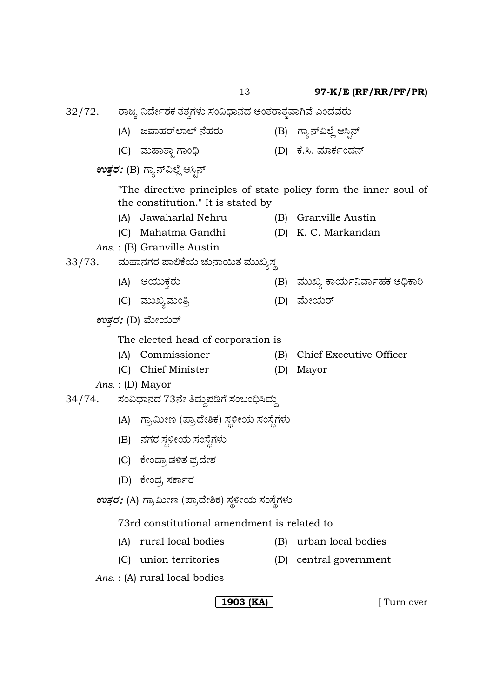32/72. ರಾಜ್ಯ ನಿರ್ದೇಶಕ ತತ್ವಗಳು ಸಂವಿಧಾನದ ಅಂತರಾತ್ಮವಾಗಿವೆ ಎಂದವರು

- (A) gÊÝÖÜÃ…ÇÝÇ… ¬æÖÜÃÜá (B) Wݬ…ËÇæÉ BÔr¬…
- (C) ÊÜáÖÝñݾ WÝí˜ (D) Pæ.Ô. ÊÜÞPÜìí¨Ü¬…

 $ev$ ತ್ತರ: (B) ಗ್ಯಾನ್ವಿಲ್ಲೆ ಆಸ್ಟಿನ್

"The directive principles of state policy form the inner soul of the constitution." It is stated by

- (A) Jawaharlal Nehru (B) Granville Austin
- (C) Mahatma Gandhi (D) K. C. Markandan
- *Ans.* : (B) Granville Austin

# 33/73. ಮಹಾನಗರ ಪಾಲಿಕೆಯ ಚುನಾಯಿತ ಮುಖ್ಯಸ್ಥ

- (A) B¿ááPܤÃÜá (B) ÊÜááS PÝ¿áìÊÝìÖÜPÜ A˜PÝÄ
- (C) ÊÜááSÂÊÜáí£Å (D) Êæáà¿áÃ…
- *ಉತ್ತರ: (*D) ಮೇಯರ್

The elected head of corporation is

- (A) Commissioner (B) Chief Executive Officer
- (C) Chief Minister (D) Mayor
- *Ans.* : (D) Mayor
- 34/74. ಸಂವಿಧಾನದ 73ನೇ ತಿದ್ದುಪಡಿಗೆ ಸಂಬಂಧಿಸಿದ್ದು
	- (A) ಗ್ರಾಮೀಣ (ಪ್ರಾದೇಶಿಕ) ಸ್ಥಳೀಯ ಸಂಸ್ಥೆಗಳು
	- (B) ನಗರ ಸ್ಥಳೀಯ ಸಂಸ್ಥೆಗಳು
	- (C) ಕೇಂದ್ರಾಡಳಿತ ಪ್ರದೇಶ
	- (D) ಕೇಂದ್ರ ಸರ್ಕಾರ
	- *ಉತ್ತರ: (A) ಗ್ರಾಮೀಣ (ಪ್ರಾ*ದೇಶಿಕ) ಸ್ಥಳೀಯ ಸಂಸ್ಥೆಗಳು

## 73rd constitutional amendment is related to

- (A) rural local bodies (B) urban local bodies
- (C) union territories (D) central government

*Ans.* : (A) rural local bodies

- 
- 
-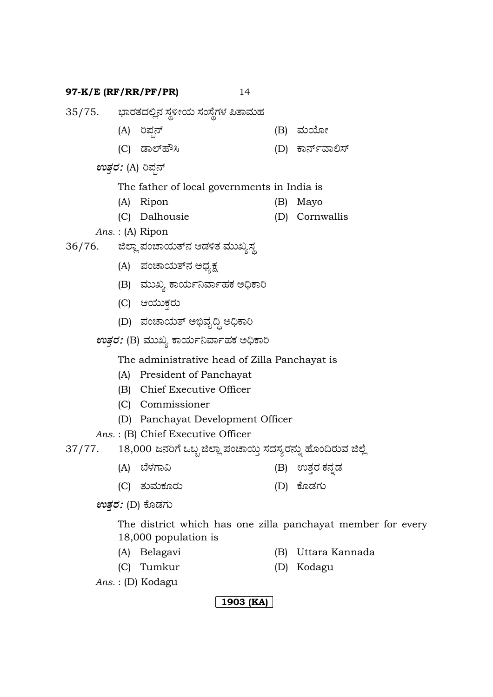- 35/75. ಭಾರತದಲ್ಲಿನ ಸ್ಥಳೀಯ ಸಂಸ್ಥೆಗಳ ಪಿತಾಮಹ
	- (A) įܱ¬… (B) 憇狈
	- (C) vÝÇ…ÖèÔ (D) Pݬ…ìÊÝÈÓ…
	- $ev$ ತ್ತರ*: (A)* ರಿಪ್ಷನ್
		- The father of local governments in India is
		- (A) Ripon (B) Mayo
		- (C) Dalhousie (D) Cornwallis
	- *Ans.* : (A) Ripon
- 36/76. ಜಿಲ್ಲಾ ಪಂಚಾಯತ್ನ ಆಡಳಿತ ಮುಖ್ಯಸ್ಥ
	- (A) ಪಂಚಾಯತ್**ನ** ಅಧ್ಯಕ್ಷ
	- (B) ಮುಖ್ಯ ಕಾರ್ಯನಿರ್ವಾಹಕ ಅಧಿಕಾರಿ
	- (C) ಆಯುಕ್ತರು
	- (D) ಪಂಚಾಯತ್ ಅಭಿವೃದ್ಧಿ ಅಧಿಕಾರಿ
	- $ev$ ತ್ತರ: (B) ಮುಖ್ಯ ಕಾರ್ಯನಿರ್ವಾಹಕ ಅಧಿಕಾರಿ

The administrative head of Zilla Panchayat is

- (A) President of Panchayat
- (B) Chief Executive Officer
- (C) Commissioner
- (D) Panchayat Development Officer

*Ans.* : (B) Chief Executive Officer

| 37/77. |  |  |  | 18,000 ಜನರಿಗೆ ಒಬ್ಬ ಜಿಲ್ಲಾ ಪಂಚಾಯ್ತಿ ಸದಸ್ಯರನ್ನು ಹೊಂದಿರುವ ಜಿಲ್ಲೆ |  |
|--------|--|--|--|---------------------------------------------------------------|--|
|        |  |  |  |                                                               |  |

- (A) ¸æÙÜWÝË (B) EñܤÃÜ PܮܰvÜ
- (C) ñÜáÊÜáPÜãÃÜá (D) PæãvÜWÜá

 $ev$ ತ್ರರ: (D) ಕೊಡಗು

The district which has one zilla panchayat member for every 18,000 population is

- (A) Belagavi (B) Uttara Kannada
	-
- 
- (C) Tumkur (D) Kodagu

*Ans.* : (D) Kodagu

**1903 (KA)**

- 
- 
- -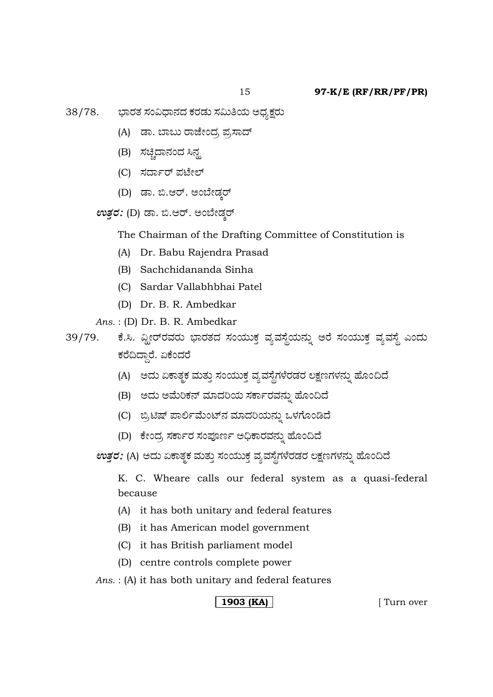- (A) ಡಾ. ಬಾಬು ರಾಜೇಂದ, ಪ್ರಸಾದ್
- (B) ಸಚ್ಚಿದಾನಂದ ಸಿನ್ಹ
- (C) ಸರ್ದಾರ್ ಪಟೇಲ್
- (D) ಡಾ. ಬಿ.ಆರ್. ಅಂಬೇಡ್ಕರ್
- $\mathit{ev}$ ತ್ತರ: (D) ಡಾ. ಬಿ.ಆರ್. ಅಂಬೇಡ್ಕರ್

The Chairman of the Drafting Committee of Constitution is

- (A) Dr. Babu Rajendra Prasad
- (B) Sachchidananda Sinha
- (C) Sardar Vallabhbhai Patel
- (D) Dr. B. R. Ambedkar

*Ans.* : (D) Dr. B. R. Ambedkar

39/79. ಕೆ.ಸಿ. ವ್ಹೀರ್ರವರು ಭಾರತದ ಸಂಯುಕ್ತ ವ್ಯವಸ್ಥೆಯನ್ನು ಅರೆ ಸಂಯುಕ್ತ ವ್ಯವಸ್ಥೆ ಎಂದು ಕರೆದಿದ್ದಾರೆ. ಏಕೆಂದರೆ

- (A) ಅದು ಏಕಾತ್ಮಕ ಮತ್ತು ಸಂಯುಕ್ತ ವ್ಯವಸ್ಥೆಗಳೆರಡರ ಲಕ್ಷಣಗಳನ್ನು ಹೊಂದಿದೆ
- (B) ಅದು ಅಮೆರಿಕನ್ ಮಾದರಿಯ ಸರ್ಕಾರವನ್ನು ಹೊಂದಿದೆ
- (C) ಬ್ರಿಟಿಷ್ ಪಾರ್ಲಿಮೆಂಟ್ನ ಮಾದರಿಯನ್ನು ಒಳಗೊಂಡಿದೆ
- (D) ಕೇಂದ್ರ ಸರ್ಕಾರ ಸಂಪೂರ್ಣ ಅಧಿಕಾರವನ್ನು ಹೊಂದಿದೆ

*ಉತ್ತರ: (*A) ಅದು ಏಕಾತ್ಮಕ ಮತ್ತು ಸಂಯುಕ್ತ ವ್ಯವಸ್ಥೆಗಳೆರಡರ ಲಕ್ಷಣಗಳನ್ನು ಹೊಂದಿದೆ

K. C. Wheare calls our federal system as a quasi-federal because

- (A) it has both unitary and federal features
- (B) it has American model government
- (C) it has British parliament model
- (D) centre controls complete power

*Ans.* : (A) it has both unitary and federal features

<sup>38/78.</sup> ಭಾರತ ಸಂವಿಧಾನದ ಕರಡು ಸಮಿತಿಯ ಅಧ್ಯಕ್ಷರು